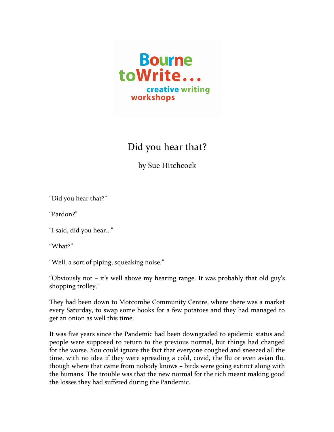

## Did you hear that?

by Sue Hitchcock

"Did you hear that?"

"Pardon?"

"I said, did you hear..."

"What?"

"Well, a sort of piping, squeaking noise."

"Obviously not  $-$  it's well above my hearing range. It was probably that old guy's shopping trolley."

They had been down to Motcombe Community Centre, where there was a market every Saturday, to swap some books for a few potatoes and they had managed to get an onion as well this time.

It was five years since the Pandemic had been downgraded to epidemic status and people were supposed to return to the previous normal, but things had changed for the worse. You could ignore the fact that everyone coughed and sneezed all the time, with no idea if they were spreading a cold, covid, the flu or even avian flu, though where that came from nobody knows – birds were going extinct along with the humans. The trouble was that the new normal for the rich meant making good the losses they had suffered during the Pandemic.